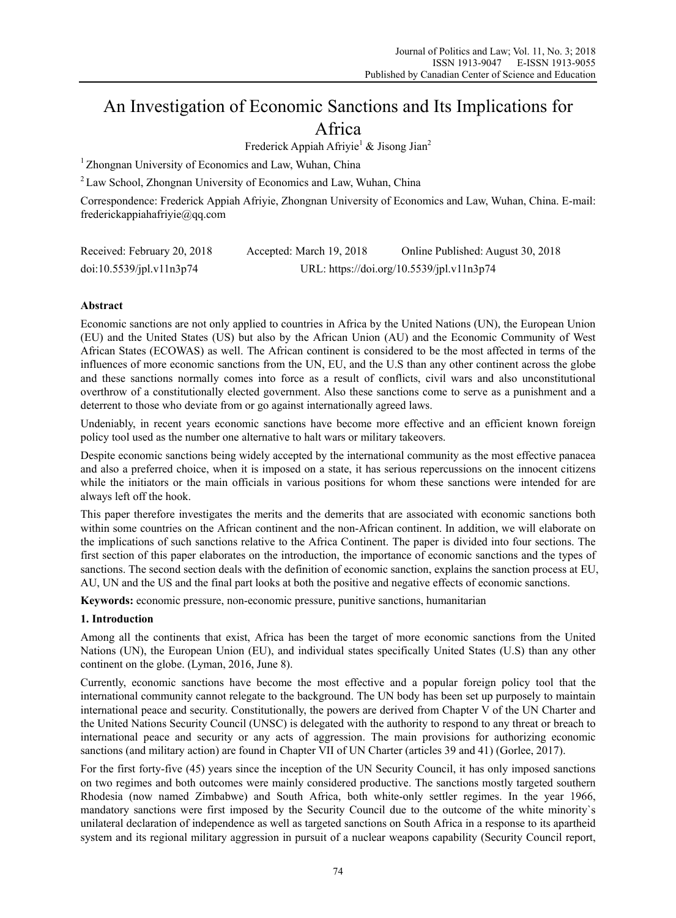# An Investigation of Economic Sanctions and Its Implications for Africa

Frederick Appiah Afriyie<sup>1</sup> & Jisong Jian<sup>2</sup>

<sup>1</sup> Zhongnan University of Economics and Law, Wuhan, China

2 Law School, Zhongnan University of Economics and Law, Wuhan, China

Correspondence: Frederick Appiah Afriyie, Zhongnan University of Economics and Law, Wuhan, China. E-mail: frederickappiahafrivie@qq.com

| Received: February 20, 2018 | Accepted: March 19, 2018                  | Online Published: August 30, 2018 |
|-----------------------------|-------------------------------------------|-----------------------------------|
| doi:10.5539/ipl.v11n3p74    | URL: https://doi.org/10.5539/jpl.v11n3p74 |                                   |

# **Abstract**

Economic sanctions are not only applied to countries in Africa by the United Nations (UN), the European Union (EU) and the United States (US) but also by the African Union (AU) and the Economic Community of West African States (ECOWAS) as well. The African continent is considered to be the most affected in terms of the influences of more economic sanctions from the UN, EU, and the U.S than any other continent across the globe and these sanctions normally comes into force as a result of conflicts, civil wars and also unconstitutional overthrow of a constitutionally elected government. Also these sanctions come to serve as a punishment and a deterrent to those who deviate from or go against internationally agreed laws.

Undeniably, in recent years economic sanctions have become more effective and an efficient known foreign policy tool used as the number one alternative to halt wars or military takeovers.

Despite economic sanctions being widely accepted by the international community as the most effective panacea and also a preferred choice, when it is imposed on a state, it has serious repercussions on the innocent citizens while the initiators or the main officials in various positions for whom these sanctions were intended for are always left off the hook.

This paper therefore investigates the merits and the demerits that are associated with economic sanctions both within some countries on the African continent and the non-African continent. In addition, we will elaborate on the implications of such sanctions relative to the Africa Continent. The paper is divided into four sections. The first section of this paper elaborates on the introduction, the importance of economic sanctions and the types of sanctions. The second section deals with the definition of economic sanction, explains the sanction process at EU, AU, UN and the US and the final part looks at both the positive and negative effects of economic sanctions.

**Keywords:** economic pressure, non-economic pressure, punitive sanctions, humanitarian

# **1. Introduction**

Among all the continents that exist, Africa has been the target of more economic sanctions from the United Nations (UN), the European Union (EU), and individual states specifically United States (U.S) than any other continent on the globe. (Lyman, 2016, June 8).

Currently, economic sanctions have become the most effective and a popular foreign policy tool that the international community cannot relegate to the background. The UN body has been set up purposely to maintain international peace and security. Constitutionally, the powers are derived from Chapter V of the UN Charter and the United Nations Security Council (UNSC) is delegated with the authority to respond to any threat or breach to international peace and security or any acts of aggression. The main provisions for authorizing economic sanctions (and military action) are found in Chapter VII of UN Charter (articles 39 and 41) (Gorlee, 2017).

For the first forty-five (45) years since the inception of the UN Security Council, it has only imposed sanctions on two regimes and both outcomes were mainly considered productive. The sanctions mostly targeted southern Rhodesia (now named Zimbabwe) and South Africa, both white-only settler regimes. In the year 1966, mandatory sanctions were first imposed by the Security Council due to the outcome of the white minority`s unilateral declaration of independence as well as targeted sanctions on South Africa in a response to its apartheid system and its regional military aggression in pursuit of a nuclear weapons capability (Security Council report,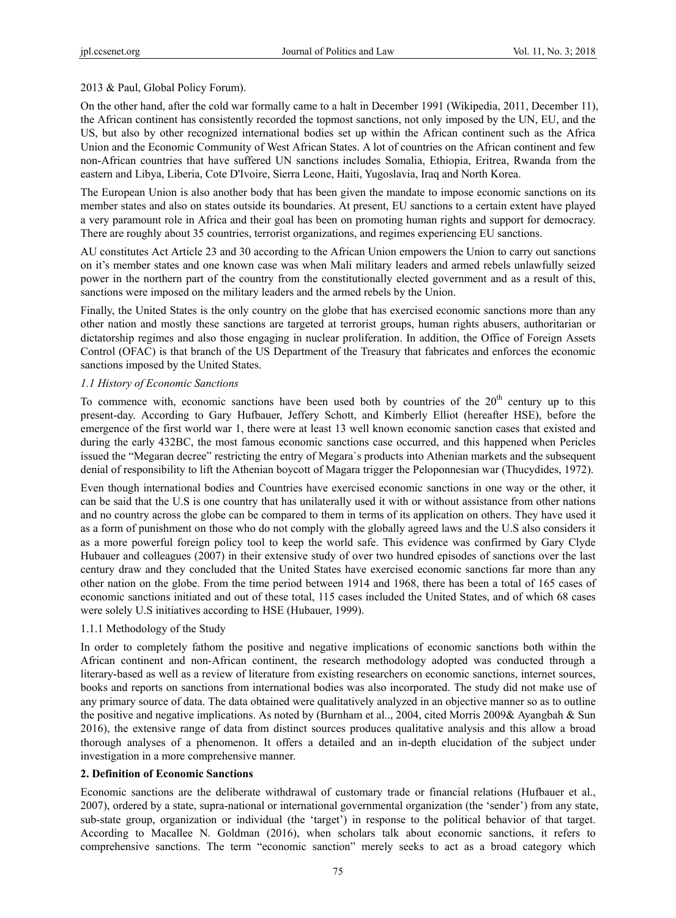#### 2013 & Paul, Global Policy Forum).

On the other hand, after the cold war formally came to a halt in December 1991 (Wikipedia, 2011, December 11), the African continent has consistently recorded the topmost sanctions, not only imposed by the UN, EU, and the US, but also by other recognized international bodies set up within the African continent such as the Africa Union and the Economic Community of West African States. A lot of countries on the African continent and few non-African countries that have suffered UN sanctions includes Somalia, Ethiopia, Eritrea, Rwanda from the eastern and Libya, Liberia, Cote D'Ivoire, Sierra Leone, Haiti, Yugoslavia, Iraq and North Korea.

The European Union is also another body that has been given the mandate to impose economic sanctions on its member states and also on states outside its boundaries. At present, EU sanctions to a certain extent have played a very paramount role in Africa and their goal has been on promoting human rights and support for democracy. There are roughly about 35 countries, terrorist organizations, and regimes experiencing EU sanctions.

AU constitutes Act Article 23 and 30 according to the African Union empowers the Union to carry out sanctions on it's member states and one known case was when Mali military leaders and armed rebels unlawfully seized power in the northern part of the country from the constitutionally elected government and as a result of this, sanctions were imposed on the military leaders and the armed rebels by the Union.

Finally, the United States is the only country on the globe that has exercised economic sanctions more than any other nation and mostly these sanctions are targeted at terrorist groups, human rights abusers, authoritarian or dictatorship regimes and also those engaging in nuclear proliferation. In addition, the Office of Foreign Assets Control (OFAC) is that branch of the US Department of the Treasury that fabricates and enforces the economic sanctions imposed by the United States.

#### *1.1 History of Economic Sanctions*

To commence with, economic sanctions have been used both by countries of the 20<sup>th</sup> century up to this present-day. According to Gary Hufbauer, Jeffery Schott, and Kimberly Elliot (hereafter HSE), before the emergence of the first world war 1, there were at least 13 well known economic sanction cases that existed and during the early 432BC, the most famous economic sanctions case occurred, and this happened when Pericles issued the "Megaran decree" restricting the entry of Megara`s products into Athenian markets and the subsequent denial of responsibility to lift the Athenian boycott of Magara trigger the Peloponnesian war (Thucydides, 1972).

Even though international bodies and Countries have exercised economic sanctions in one way or the other, it can be said that the U.S is one country that has unilaterally used it with or without assistance from other nations and no country across the globe can be compared to them in terms of its application on others. They have used it as a form of punishment on those who do not comply with the globally agreed laws and the U.S also considers it as a more powerful foreign policy tool to keep the world safe. This evidence was confirmed by Gary Clyde Hubauer and colleagues (2007) in their extensive study of over two hundred episodes of sanctions over the last century draw and they concluded that the United States have exercised economic sanctions far more than any other nation on the globe. From the time period between 1914 and 1968, there has been a total of 165 cases of economic sanctions initiated and out of these total, 115 cases included the United States, and of which 68 cases were solely U.S initiatives according to HSE (Hubauer, 1999).

## 1.1.1 Methodology of the Study

In order to completely fathom the positive and negative implications of economic sanctions both within the African continent and non-African continent, the research methodology adopted was conducted through a literary-based as well as a review of literature from existing researchers on economic sanctions, internet sources, books and reports on sanctions from international bodies was also incorporated. The study did not make use of any primary source of data. The data obtained were qualitatively analyzed in an objective manner so as to outline the positive and negative implications. As noted by (Burnham et al.., 2004, cited Morris 2009& Ayangbah & Sun 2016), the extensive range of data from distinct sources produces qualitative analysis and this allow a broad thorough analyses of a phenomenon. It offers a detailed and an in-depth elucidation of the subject under investigation in a more comprehensive manner.

## **2. Definition of Economic Sanctions**

Economic sanctions are the deliberate withdrawal of customary trade or financial relations (Hufbauer et al., 2007), ordered by a state, supra-national or international governmental organization (the 'sender') from any state, sub-state group, organization or individual (the 'target') in response to the political behavior of that target. According to Macallee N. Goldman (2016), when scholars talk about economic sanctions, it refers to comprehensive sanctions. The term "economic sanction" merely seeks to act as a broad category which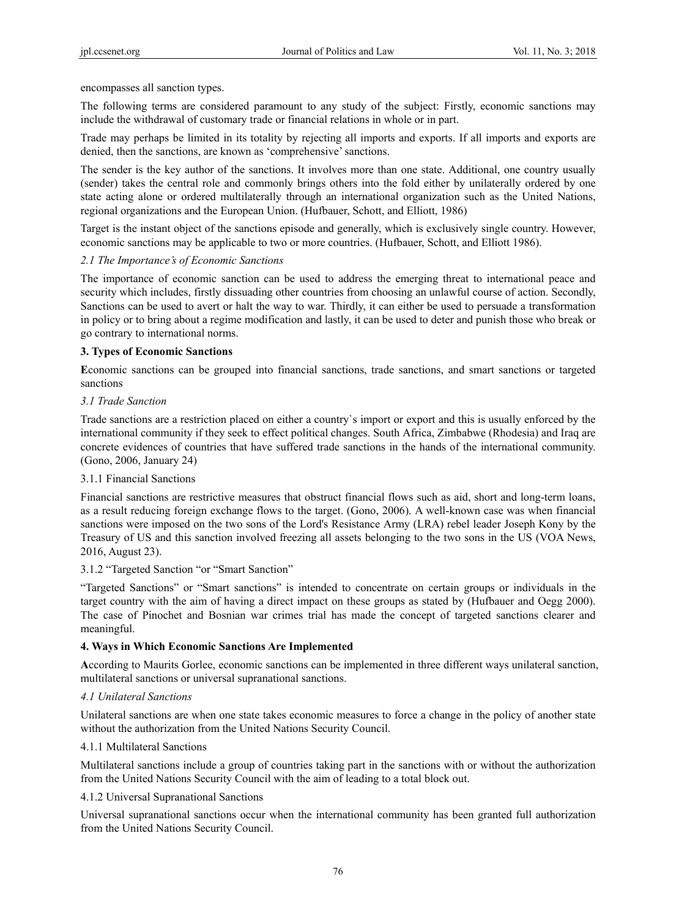encompasses all sanction types.

The following terms are considered paramount to any study of the subject: Firstly, economic sanctions may include the withdrawal of customary trade or financial relations in whole or in part.

Trade may perhaps be limited in its totality by rejecting all imports and exports. If all imports and exports are denied, then the sanctions, are known as 'comprehensive' sanctions.

The sender is the key author of the sanctions. It involves more than one state. Additional, one country usually (sender) takes the central role and commonly brings others into the fold either by unilaterally ordered by one state acting alone or ordered multilaterally through an international organization such as the United Nations, regional organizations and the European Union. (Hufbauer, Schott, and Elliott, 1986)

Target is the instant object of the sanctions episode and generally, which is exclusively single country. However, economic sanctions may be applicable to two or more countries. (Hufbauer, Schott, and Elliott 1986).

#### *2.1 The Importance's of Economic Sanctions*

The importance of economic sanction can be used to address the emerging threat to international peace and security which includes, firstly dissuading other countries from choosing an unlawful course of action. Secondly, Sanctions can be used to avert or halt the way to war. Thirdly, it can either be used to persuade a transformation in policy or to bring about a regime modification and lastly, it can be used to deter and punish those who break or go contrary to international norms.

#### **3. Types of Economic Sanctions**

**E**conomic sanctions can be grouped into financial sanctions, trade sanctions, and smart sanctions or targeted sanctions

## *3.1 Trade Sanction*

Trade sanctions are a restriction placed on either a country`s import or export and this is usually enforced by the international community if they seek to effect political changes. South Africa, Zimbabwe (Rhodesia) and Iraq are concrete evidences of countries that have suffered trade sanctions in the hands of the international community. (Gono, 2006, January 24)

## 3.1.1 Financial Sanctions

Financial sanctions are restrictive measures that obstruct financial flows such as aid, short and long-term loans, as a result reducing foreign exchange flows to the target. (Gono, 2006). A well-known case was when financial sanctions were imposed on the two sons of the Lord's Resistance Army (LRA) rebel leader Joseph Kony by the Treasury of US and this sanction involved freezing all assets belonging to the two sons in the US (VOA News, 2016, August 23).

#### 3.1.2 "Targeted Sanction "or "Smart Sanction"

"Targeted Sanctions" or "Smart sanctions" is intended to concentrate on certain groups or individuals in the target country with the aim of having a direct impact on these groups as stated by (Hufbauer and Oegg 2000). The case of Pinochet and Bosnian war crimes trial has made the concept of targeted sanctions clearer and meaningful.

## **4. Ways in Which Economic Sanctions Are Implemented**

**A**ccording to Maurits Gorlee, economic sanctions can be implemented in three different ways unilateral sanction, multilateral sanctions or universal supranational sanctions.

## *4.1 Unilateral Sanctions*

Unilateral sanctions are when one state takes economic measures to force a change in the policy of another state without the authorization from the United Nations Security Council.

## 4.1.1 Multilateral Sanctions

Multilateral sanctions include a group of countries taking part in the sanctions with or without the authorization from the United Nations Security Council with the aim of leading to a total block out.

## 4.1.2 Universal Supranational Sanctions

Universal supranational sanctions occur when the international community has been granted full authorization from the United Nations Security Council.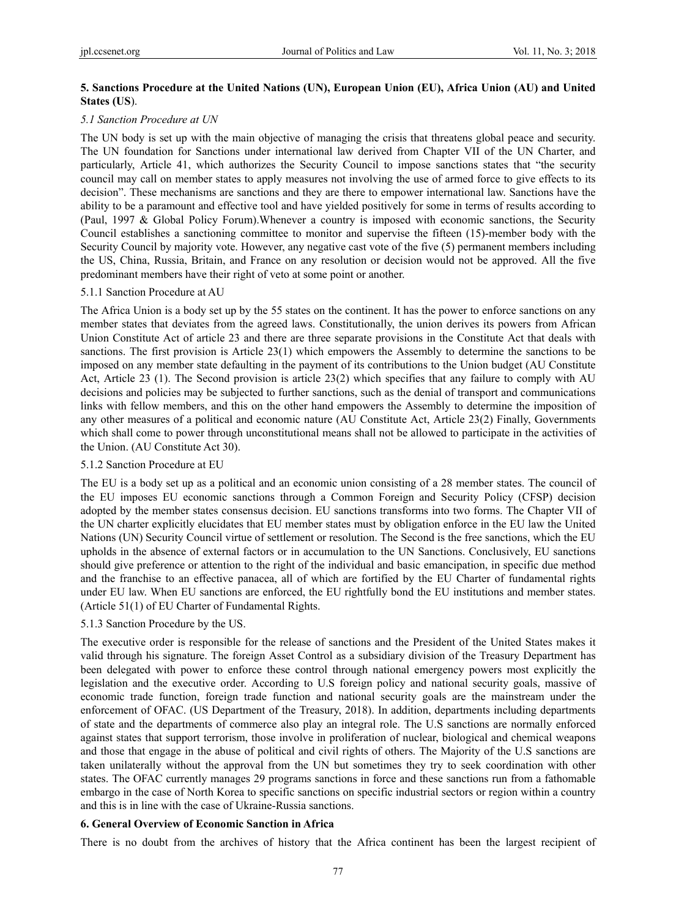## **5. Sanctions Procedure at the United Nations (UN), European Union (EU), Africa Union (AU) and United States (US**).

## *5.1 Sanction Procedure at UN*

The UN body is set up with the main objective of managing the crisis that threatens global peace and security. The UN foundation for Sanctions under international law derived from Chapter VII of the UN Charter, and particularly, Article 41, which authorizes the Security Council to impose sanctions states that "the security council may call on member states to apply measures not involving the use of armed force to give effects to its decision". These mechanisms are sanctions and they are there to empower international law. Sanctions have the ability to be a paramount and effective tool and have yielded positively for some in terms of results according to (Paul, 1997 & Global Policy Forum).Whenever a country is imposed with economic sanctions, the Security Council establishes a sanctioning committee to monitor and supervise the fifteen (15)-member body with the Security Council by majority vote. However, any negative cast vote of the five (5) permanent members including the US, China, Russia, Britain, and France on any resolution or decision would not be approved. All the five predominant members have their right of veto at some point or another.

## 5.1.1 Sanction Procedure at AU

The Africa Union is a body set up by the 55 states on the continent. It has the power to enforce sanctions on any member states that deviates from the agreed laws. Constitutionally, the union derives its powers from African Union Constitute Act of article 23 and there are three separate provisions in the Constitute Act that deals with sanctions. The first provision is Article 23(1) which empowers the Assembly to determine the sanctions to be imposed on any member state defaulting in the payment of its contributions to the Union budget (AU Constitute Act, Article 23 (1). The Second provision is article 23(2) which specifies that any failure to comply with AU decisions and policies may be subjected to further sanctions, such as the denial of transport and communications links with fellow members, and this on the other hand empowers the Assembly to determine the imposition of any other measures of a political and economic nature (AU Constitute Act, Article 23(2) Finally, Governments which shall come to power through unconstitutional means shall not be allowed to participate in the activities of the Union. (AU Constitute Act 30).

## 5.1.2 Sanction Procedure at EU

The EU is a body set up as a political and an economic union consisting of a 28 member states. The council of the EU imposes EU economic sanctions through a Common Foreign and Security Policy (CFSP) decision adopted by the member states consensus decision. EU sanctions transforms into two forms. The Chapter VII of the UN charter explicitly elucidates that EU member states must by obligation enforce in the EU law the United Nations (UN) Security Council virtue of settlement or resolution. The Second is the free sanctions, which the EU upholds in the absence of external factors or in accumulation to the UN Sanctions. Conclusively, EU sanctions should give preference or attention to the right of the individual and basic emancipation, in specific due method and the franchise to an effective panacea, all of which are fortified by the EU Charter of fundamental rights under EU law. When EU sanctions are enforced, the EU rightfully bond the EU institutions and member states. (Article 51(1) of EU Charter of Fundamental Rights.

## 5.1.3 Sanction Procedure by the US.

The executive order is responsible for the release of sanctions and the President of the United States makes it valid through his signature. The foreign Asset Control as a subsidiary division of the Treasury Department has been delegated with power to enforce these control through national emergency powers most explicitly the legislation and the executive order. According to U.S foreign policy and national security goals, massive of economic trade function, foreign trade function and national security goals are the mainstream under the enforcement of OFAC. (US Department of the Treasury, 2018). In addition, departments including departments of state and the departments of commerce also play an integral role. The U.S sanctions are normally enforced against states that support terrorism, those involve in proliferation of nuclear, biological and chemical weapons and those that engage in the abuse of political and civil rights of others. The Majority of the U.S sanctions are taken unilaterally without the approval from the UN but sometimes they try to seek coordination with other states. The OFAC currently manages 29 programs sanctions in force and these sanctions run from a fathomable embargo in the case of North Korea to specific sanctions on specific industrial sectors or region within a country and this is in line with the case of Ukraine-Russia sanctions.

# **6. General Overview of Economic Sanction in Africa**

There is no doubt from the archives of history that the Africa continent has been the largest recipient of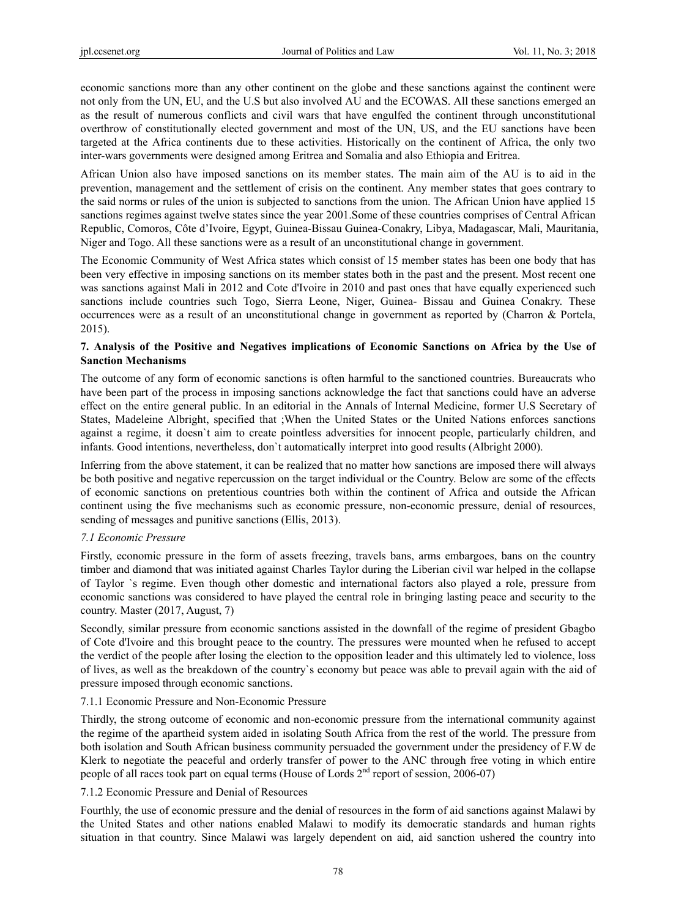economic sanctions more than any other continent on the globe and these sanctions against the continent were not only from the UN, EU, and the U.S but also involved AU and the ECOWAS. All these sanctions emerged an as the result of numerous conflicts and civil wars that have engulfed the continent through unconstitutional overthrow of constitutionally elected government and most of the UN, US, and the EU sanctions have been targeted at the Africa continents due to these activities. Historically on the continent of Africa, the only two inter-wars governments were designed among Eritrea and Somalia and also Ethiopia and Eritrea.

African Union also have imposed sanctions on its member states. The main aim of the AU is to aid in the prevention, management and the settlement of crisis on the continent. Any member states that goes contrary to the said norms or rules of the union is subjected to sanctions from the union. The African Union have applied 15 sanctions regimes against twelve states since the year 2001. Some of these countries comprises of Central African Republic, Comoros, Côte d'Ivoire, Egypt, Guinea-Bissau Guinea-Conakry, Libya, Madagascar, Mali, Mauritania, Niger and Togo. All these sanctions were as a result of an unconstitutional change in government.

The Economic Community of West Africa states which consist of 15 member states has been one body that has been very effective in imposing sanctions on its member states both in the past and the present. Most recent one was sanctions against Mali in 2012 and Cote d'Ivoire in 2010 and past ones that have equally experienced such sanctions include countries such Togo, Sierra Leone, Niger, Guinea- Bissau and Guinea Conakry. These occurrences were as a result of an unconstitutional change in government as reported by (Charron & Portela, 2015).

# **7. Analysis of the Positive and Negatives implications of Economic Sanctions on Africa by the Use of Sanction Mechanisms**

The outcome of any form of economic sanctions is often harmful to the sanctioned countries. Bureaucrats who have been part of the process in imposing sanctions acknowledge the fact that sanctions could have an adverse effect on the entire general public. In an editorial in the Annals of Internal Medicine, former U.S Secretary of States, Madeleine Albright, specified that ;When the United States or the United Nations enforces sanctions against a regime, it doesn`t aim to create pointless adversities for innocent people, particularly children, and infants. Good intentions, nevertheless, don`t automatically interpret into good results (Albright 2000).

Inferring from the above statement, it can be realized that no matter how sanctions are imposed there will always be both positive and negative repercussion on the target individual or the Country. Below are some of the effects of economic sanctions on pretentious countries both within the continent of Africa and outside the African continent using the five mechanisms such as economic pressure, non-economic pressure, denial of resources, sending of messages and punitive sanctions (Ellis, 2013).

# *7.1 Economic Pressure*

Firstly, economic pressure in the form of assets freezing, travels bans, arms embargoes, bans on the country timber and diamond that was initiated against Charles Taylor during the Liberian civil war helped in the collapse of Taylor `s regime. Even though other domestic and international factors also played a role, pressure from economic sanctions was considered to have played the central role in bringing lasting peace and security to the country. Master (2017, August, 7)

Secondly, similar pressure from economic sanctions assisted in the downfall of the regime of president Gbagbo of Cote d'Ivoire and this brought peace to the country. The pressures were mounted when he refused to accept the verdict of the people after losing the election to the opposition leader and this ultimately led to violence, loss of lives, as well as the breakdown of the country`s economy but peace was able to prevail again with the aid of pressure imposed through economic sanctions.

# 7.1.1 Economic Pressure and Non-Economic Pressure

Thirdly, the strong outcome of economic and non-economic pressure from the international community against the regime of the apartheid system aided in isolating South Africa from the rest of the world. The pressure from both isolation and South African business community persuaded the government under the presidency of F.W de Klerk to negotiate the peaceful and orderly transfer of power to the ANC through free voting in which entire people of all races took part on equal terms (House of Lords 2nd report of session, 2006-07)

# 7.1.2 Economic Pressure and Denial of Resources

Fourthly, the use of economic pressure and the denial of resources in the form of aid sanctions against Malawi by the United States and other nations enabled Malawi to modify its democratic standards and human rights situation in that country. Since Malawi was largely dependent on aid, aid sanction ushered the country into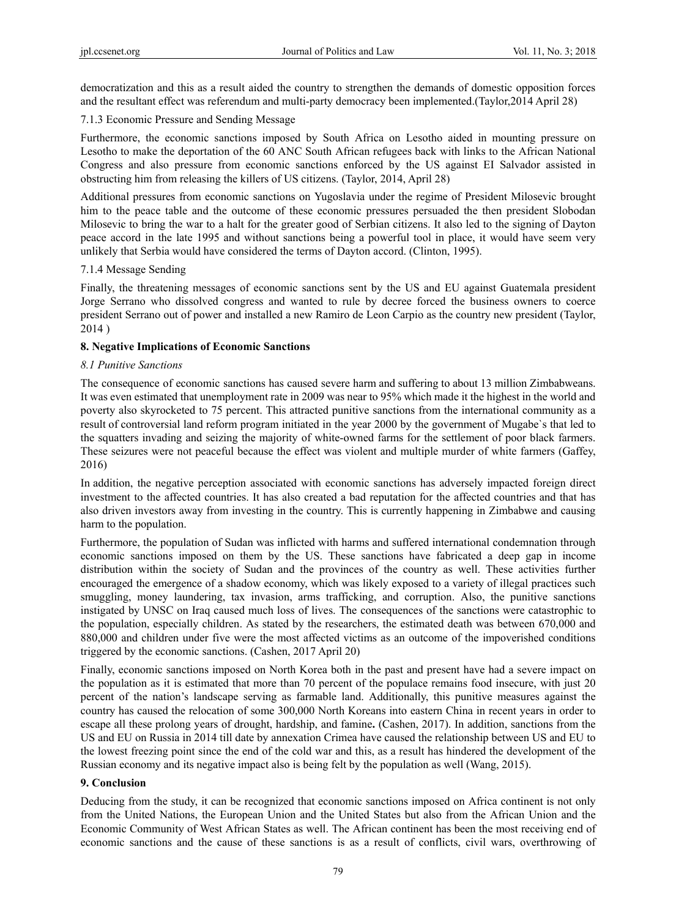democratization and this as a result aided the country to strengthen the demands of domestic opposition forces and the resultant effect was referendum and multi-party democracy been implemented.(Taylor,2014 April 28)

## 7.1.3 Economic Pressure and Sending Message

Furthermore, the economic sanctions imposed by South Africa on Lesotho aided in mounting pressure on Lesotho to make the deportation of the 60 ANC South African refugees back with links to the African National Congress and also pressure from economic sanctions enforced by the US against EI Salvador assisted in obstructing him from releasing the killers of US citizens. (Taylor, 2014, April 28)

Additional pressures from economic sanctions on Yugoslavia under the regime of President Milosevic brought him to the peace table and the outcome of these economic pressures persuaded the then president Slobodan Milosevic to bring the war to a halt for the greater good of Serbian citizens. It also led to the signing of Dayton peace accord in the late 1995 and without sanctions being a powerful tool in place, it would have seem very unlikely that Serbia would have considered the terms of Dayton accord. (Clinton, 1995).

## 7.1.4 Message Sending

Finally, the threatening messages of economic sanctions sent by the US and EU against Guatemala president Jorge Serrano who dissolved congress and wanted to rule by decree forced the business owners to coerce president Serrano out of power and installed a new Ramiro de Leon Carpio as the country new president (Taylor, 2014 )

## **8. Negative Implications of Economic Sanctions**

## *8.1 Punitive Sanctions*

The consequence of economic sanctions has caused severe harm and suffering to about 13 million Zimbabweans. It was even estimated that unemployment rate in 2009 was near to 95% which made it the highest in the world and poverty also skyrocketed to 75 percent. This attracted punitive sanctions from the international community as a result of controversial land reform program initiated in the year 2000 by the government of Mugabe`s that led to the squatters invading and seizing the majority of white-owned farms for the settlement of poor black farmers. These seizures were not peaceful because the effect was violent and multiple murder of white farmers (Gaffey, 2016)

In addition, the negative perception associated with economic sanctions has adversely impacted foreign direct investment to the affected countries. It has also created a bad reputation for the affected countries and that has also driven investors away from investing in the country. This is currently happening in Zimbabwe and causing harm to the population.

Furthermore, the population of Sudan was inflicted with harms and suffered international condemnation through economic sanctions imposed on them by the US. These sanctions have fabricated a deep gap in income distribution within the society of Sudan and the provinces of the country as well. These activities further encouraged the emergence of a shadow economy, which was likely exposed to a variety of illegal practices such smuggling, money laundering, tax invasion, arms trafficking, and corruption. Also, the punitive sanctions instigated by UNSC on Iraq caused much loss of lives. The consequences of the sanctions were catastrophic to the population, especially children. As stated by the researchers, the estimated death was between 670,000 and 880,000 and children under five were the most affected victims as an outcome of the impoverished conditions triggered by the economic sanctions. (Cashen, 2017 April 20)

Finally, economic sanctions imposed on North Korea both in the past and present have had a severe impact on the population as it is estimated that more than 70 percent of the populace remains food insecure, with just 20 percent of the nation's landscape serving as farmable land. Additionally, this punitive measures against the country has caused the relocation of some 300,000 North Koreans into eastern China in recent years in order to escape all these prolong years of drought, hardship, and famine**.** (Cashen, 2017). In addition, sanctions from the US and EU on Russia in 2014 till date by annexation Crimea have caused the relationship between US and EU to the lowest freezing point since the end of the cold war and this, as a result has hindered the development of the Russian economy and its negative impact also is being felt by the population as well (Wang, 2015).

## **9. Conclusion**

Deducing from the study, it can be recognized that economic sanctions imposed on Africa continent is not only from the United Nations, the European Union and the United States but also from the African Union and the Economic Community of West African States as well. The African continent has been the most receiving end of economic sanctions and the cause of these sanctions is as a result of conflicts, civil wars, overthrowing of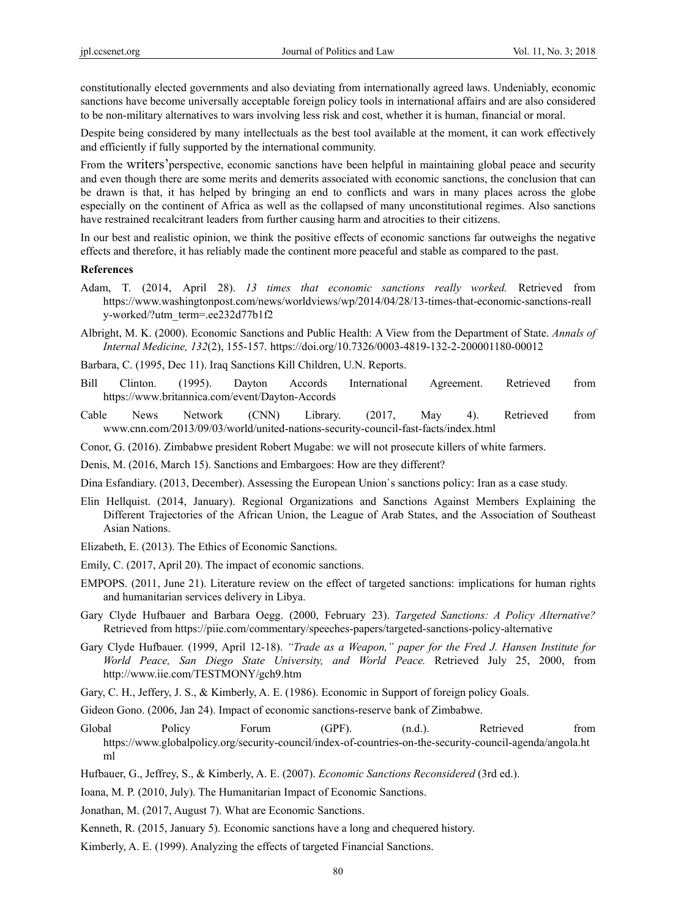constitutionally elected governments and also deviating from internationally agreed laws. Undeniably, economic sanctions have become universally acceptable foreign policy tools in international affairs and are also considered to be non-military alternatives to wars involving less risk and cost, whether it is human, financial or moral.

Despite being considered by many intellectuals as the best tool available at the moment, it can work effectively and efficiently if fully supported by the international community.

From the writers'perspective, economic sanctions have been helpful in maintaining global peace and security and even though there are some merits and demerits associated with economic sanctions, the conclusion that can be drawn is that, it has helped by bringing an end to conflicts and wars in many places across the globe especially on the continent of Africa as well as the collapsed of many unconstitutional regimes. Also sanctions have restrained recalcitrant leaders from further causing harm and atrocities to their citizens.

In our best and realistic opinion, we think the positive effects of economic sanctions far outweighs the negative effects and therefore, it has reliably made the continent more peaceful and stable as compared to the past.

## **References**

- Adam, T. (2014, April 28). *13 times that economic sanctions really worked.* Retrieved from https://www.washingtonpost.com/news/worldviews/wp/2014/04/28/13-times-that-economic-sanctions-reall y-worked/?utm\_term=.ee232d77b1f2
- Albright, M. K. (2000). Economic Sanctions and Public Health: A View from the Department of State. *Annals of Internal Medicine, 132*(2), 155-157. https://doi.org/10.7326/0003-4819-132-2-200001180-00012
- Barbara, C. (1995, Dec 11). Iraq Sanctions Kill Children, U.N. Reports.
- Bill Clinton. (1995). Dayton Accords International Agreement. Retrieved from https://www.britannica.com/event/Dayton-Accords
- Cable News Network (CNN) Library. (2017, May 4). Retrieved from www.cnn.com/2013/09/03/world/united-nations-security-council-fast-facts/index.html
- Conor, G. (2016). Zimbabwe president Robert Mugabe: we will not prosecute killers of white farmers.
- Denis, M. (2016, March 15). Sanctions and Embargoes: How are they different?
- Dina Esfandiary. (2013, December). Assessing the European Union`s sanctions policy: Iran as a case study.
- Elin Hellquist. (2014, January). Regional Organizations and Sanctions Against Members Explaining the Different Trajectories of the African Union, the League of Arab States, and the Association of Southeast Asian Nations.
- Elizabeth, E. (2013). The Ethics of Economic Sanctions.
- Emily, C. (2017, April 20). The impact of economic sanctions.
- EMPOPS. (2011, June 21). Literature review on the effect of targeted sanctions: implications for human rights and humanitarian services delivery in Libya.
- Gary Clyde Hufbauer and Barbara Oegg. (2000, February 23). *Targeted Sanctions: A Policy Alternative?* Retrieved from https://piie.com/commentary/speeches-papers/targeted-sanctions-policy-alternative
- Gary Clyde Hufbauer. (1999, April 12-18). *"Trade as a Weapon," paper for the Fred J. Hansen Institute for World Peace, San Diego State University, and World Peace.* Retrieved July 25, 2000, from http://www.iie.com/TESTMONY/gch9.htm
- Gary, C. H., Jeffery, J. S., & Kimberly, A. E. (1986). Economic in Support of foreign policy Goals.
- Gideon Gono. (2006, Jan 24). Impact of economic sanctions-reserve bank of Zimbabwe.
- Global Policy Forum (GPF). (n.d.). Retrieved from https://www.globalpolicy.org/security-council/index-of-countries-on-the-security-council-agenda/angola.ht ml
- Hufbauer, G., Jeffrey, S., & Kimberly, A. E. (2007). *Economic Sanctions Reconsidered* (3rd ed.).
- Ioana, M. P. (2010, July). The Humanitarian Impact of Economic Sanctions.
- Jonathan, M. (2017, August 7). What are Economic Sanctions.
- Kenneth, R. (2015, January 5). Economic sanctions have a long and chequered history.
- Kimberly, A. E. (1999). Analyzing the effects of targeted Financial Sanctions.